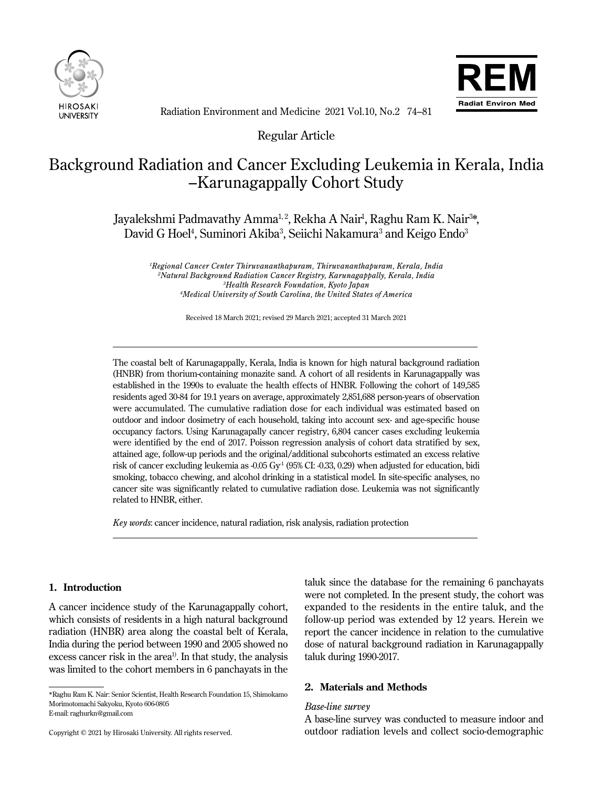



Radiation Environment and Medicine 2021 Vol.10, No.2 74–81

Regular Article

# Background Radiation and Cancer Excluding Leukemia in Kerala, India –Karunagappally Cohort Study

Jayalekshmi Padmavathy Amma<sup>1,2</sup>, Rekha A Nair<sup>1</sup>, Raghu Ram K. Nair<sup>3</sup>\*, David G Hoel<sup>4</sup>, Suminori Akiba<sup>3</sup>, Seiichi Nakamura<sup>3</sup> and Keigo Endo<sup>3</sup>

 *Regional Cancer Center Thiruvananthapuram, Thiruvananthapuram, Kerala, India Natural Background Radiation Cancer Registry, Karunagappally, Kerala, India Health Research Foundation, Kyoto Japan Medical University of South Carolina, the United States of America*

Received 18 March 2021; revised 29 March 2021; accepted 31 March 2021

The coastal belt of Karunagappally, Kerala, India is known for high natural background radiation (HNBR) from thorium-containing monazite sand. A cohort of all residents in Karunagappally was established in the 1990s to evaluate the health effects of HNBR. Following the cohort of 149,585 residents aged 30-84 for 19.1 years on average, approximately 2,851,688 person-years of observation were accumulated. The cumulative radiation dose for each individual was estimated based on outdoor and indoor dosimetry of each household, taking into account sex- and age-specific house occupancy factors. Using Karunagapally cancer registry, 6,804 cancer cases excluding leukemia were identified by the end of 2017. Poisson regression analysis of cohort data stratified by sex, attained age, follow-up periods and the original/additional subcohorts estimated an excess relative risk of cancer excluding leukemia as  $-0.05$  Gy<sup>-1</sup> (95% CI:  $-0.33$ , 0.29) when adjusted for education, bidi smoking, tobacco chewing, and alcohol drinking in a statistical model. In site-specific analyses, no cancer site was significantly related to cumulative radiation dose. Leukemia was not significantly related to HNBR, either.

*Key words*: cancer incidence, natural radiation, risk analysis, radiation protection

# **1. Introduction**

Ī

 $\overline{a}$ 

A cancer incidence study of the Karunagappally cohort, which consists of residents in a high natural background radiation (HNBR) area along the coastal belt of Kerala, India during the period between 1990 and 2005 showed no excess cancer risk in the area<sup>1</sup>. In that study, the analysis was limited to the cohort members in 6 panchayats in the

taluk since the database for the remaining 6 panchayats were not completed. In the present study, the cohort was expanded to the residents in the entire taluk, and the follow-up period was extended by 12 years. Herein we report the cancer incidence in relation to the cumulative dose of natural background radiation in Karunagappally taluk during 1990-2017.

#### **2. Materials and Methods**

#### *Base-line survey*

A base-line survey was conducted to measure indoor and outdoor radiation levels and collect socio-demographic

<sup>\*</sup>Raghu Ram K. Nair: Senior Scientist, Health Research Foundation 15, Shimokamo Morimotomachi Sakyoku, Kyoto 606-0805 E-mail: raghurkn@gmail.com

Copyright © 2021 by Hirosaki University. All rights reserved.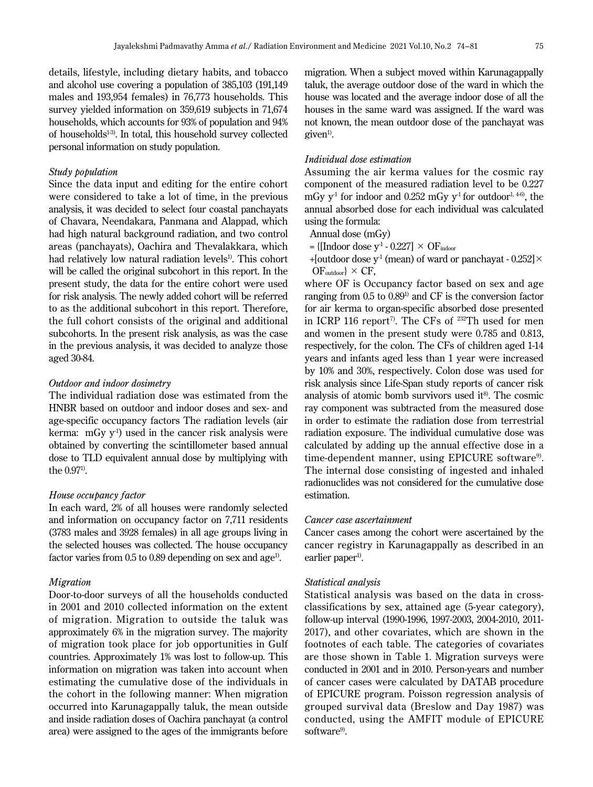details, lifestyle, including dietary habits, and tobacco and alcohol use covering a population of 385,103 (191,149 males and 193,954 females) in 76,773 households. This survey yielded information on 359,619 subjects in 71,674 households, which accounts for 93% of population and 94% of households<sup>1-3)</sup>. In total, this household survey collected personal information on study population.

#### *Study population*

Since the data input and editing for the entire cohort were considered to take a lot of time, in the previous analysis, it was decided to select four coastal panchayats of Chavara, Neendakara, Panmana and Alappad, which had high natural background radiation, and two control areas (panchayats), Oachira and Thevalakkara, which had relatively low natural radiation levels<sup>1)</sup>. This cohort will be called the original subcohort in this report. In the present study, the data for the entire cohort were used for risk analysis. The newly added cohort will be referred to as the additional subcohort in this report. Therefore, the full cohort consists of the original and additional subcohorts. In the present risk analysis, as was the case in the previous analysis, it was decided to analyze those aged 30-84.

#### *Outdoor and indoor dosimetry*

The individual radiation dose was estimated from the HNBR based on outdoor and indoor doses and sex- and age-specific occupancy factors The radiation levels (air kerma: mGy  $y^{-1}$ ) used in the cancer risk analysis were obtained by converting the scintillometer based annual dose to TLD equivalent annual dose by multiplying with the  $0.97<sup>1</sup>$ .

#### *House occupancy factor*

In each ward, 2% of all houses were randomly selected and information on occupancy factor on 7,711 residents (3783 males and 3928 females) in all age groups living in the selected houses was collected. The house occupancy factor varies from  $0.5$  to  $0.89$  depending on sex and age<sup>1)</sup>.

# *Migration*

Door-to-door surveys of all the households conducted in 2001 and 2010 collected information on the extent of migration. Migration to outside the taluk was approximately 6% in the migration survey. The majority of migration took place for job opportunities in Gulf countries. Approximately 1% was lost to follow-up. This information on migration was taken into account when estimating the cumulative dose of the individuals in the cohort in the following manner: When migration occurred into Karunagappally taluk, the mean outside and inside radiation doses of Oachira panchayat (a control area) were assigned to the ages of the immigrants before

migration. When a subject moved within Karunagappally taluk, the average outdoor dose of the ward in which the house was located and the average indoor dose of all the houses in the same ward was assigned. If the ward was not known, the mean outdoor dose of the panchayat was  $given<sup>1</sup>$ .

#### *Individual dose estimation*

Assuming the air kerma values for the cosmic ray component of the measured radiation level to be 0.227 mGy  $v^1$  for indoor and 0.252 mGy  $v^1$  for outdoor<sup>1, 4-6</sup>, the annual absorbed dose for each individual was calculated using the formula:

Annual dose (mGy)

- $= \{ \text{[Indoor dose v}^{-1} 0.227 \} \times \text{OF}_{\text{indoor}} \}$
- + [outdoor dose y<sup>1</sup> (mean) of ward or panchayat  $0.252$ ]  $\times$  $OF_{outdoor}$   $\times$  CF,

where OF is Occupancy factor based on sex and age ranging from 0.5 to 0.891) and CF is the conversion factor for air kerma to organ-specific absorbed dose presented in ICRP 116 report<sup>7</sup>. The CFs of  $^{232}$ Th used for men and women in the present study were 0.785 and 0.813, respectively, for the colon. The CFs of children aged 1-14 years and infants aged less than 1 year were increased by 10% and 30%, respectively. Colon dose was used for risk analysis since Life-Span study reports of cancer risk analysis of atomic bomb survivors used it $\mathbf{8}^8$ . The cosmic ray component was subtracted from the measured dose in order to estimate the radiation dose from terrestrial radiation exposure. The individual cumulative dose was calculated by adding up the annual effective dose in a time-dependent manner, using EPICURE software<sup>9)</sup>. The internal dose consisting of ingested and inhaled radionuclides was not considered for the cumulative dose estimation.

# *Cancer case ascertainment*

Cancer cases among the cohort were ascertained by the cancer registry in Karunagappally as described in an earlier paper<sup>1)</sup>.

# *Statistical analysis*

Statistical analysis was based on the data in crossclassifications by sex, attained age (5-year category), follow-up interval (1990-1996, 1997-2003, 2004-2010, 2011- 2017), and other covariates, which are shown in the footnotes of each table. The categories of covariates are those shown in Table 1. Migration surveys were conducted in 2001 and in 2010. Person-years and number of cancer cases were calculated by DATAB procedure of EPICURE program. Poisson regression analysis of grouped survival data (Breslow and Day 1987) was conducted, using the AMFIT module of EPICURE software<sup>9</sup>.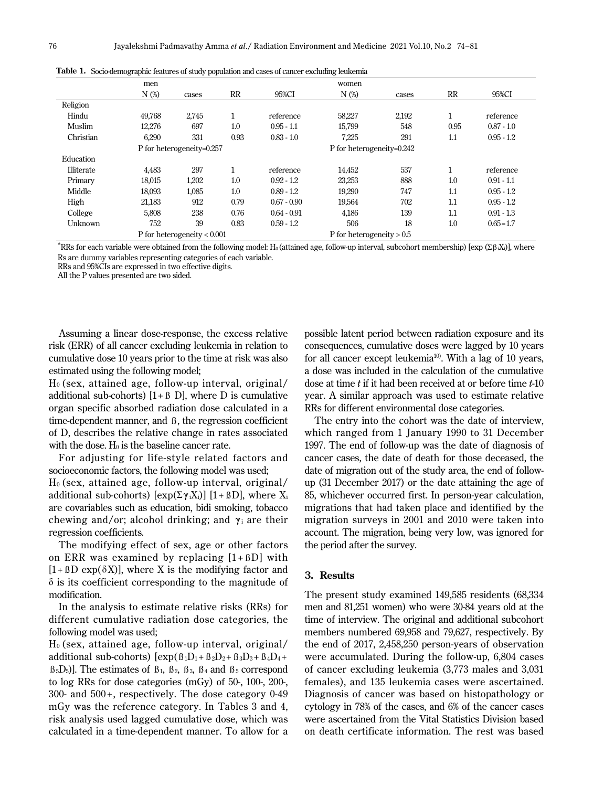|            | men                       |                               |      |                           | women                       |       |      |              |
|------------|---------------------------|-------------------------------|------|---------------------------|-----------------------------|-------|------|--------------|
|            | $N$ (%)                   | cases                         | RR   | 95%CI                     | $N$ (%)                     | cases | RR   | 95%CI        |
| Religion   |                           |                               |      |                           |                             |       |      |              |
| Hindu      | 49.768                    | 2,745                         |      | reference                 | 58,227                      | 2,192 | 1    | reference    |
| Muslim     | 12,276                    | 697                           | 1.0  | $0.95 - 1.1$              | 15.799                      | 548   | 0.95 | $0.87 - 1.0$ |
| Christian  | 6,290                     | 331                           | 0.93 | $0.83 - 1.0$              | 7,225                       | 291   | 1.1  | $0.95 - 1.2$ |
|            | P for heterogeneity=0.257 |                               |      | P for heterogeneity=0.242 |                             |       |      |              |
| Education  |                           |                               |      |                           |                             |       |      |              |
| Illiterate | 4,483                     | 297                           |      | reference                 | 14,452                      | 537   | 1    | reference    |
| Primary    | 18,015                    | 1,202                         | 1.0  | $0.92 - 1.2$              | 23,253                      | 888   | 1.0  | $0.91 - 1.1$ |
| Middle     | 18,093                    | 1,085                         | 1.0  | $0.89 - 1.2$              | 19,290                      | 747   | 1.1  | $0.95 - 1.2$ |
| High       | 21,183                    | 912                           | 0.79 | $0.67 - 0.90$             | 19,564                      | 702   | 1.1  | $0.95 - 1.2$ |
| College    | 5,808                     | 238                           | 0.76 | $0.64 - 0.91$             | 4,186                       | 139   | 1.1  | $0.91 - 1.3$ |
| Unknown    | 752                       | 39                            | 0.83 | $0.59 - 1.2$              | 506                         | 18    | 1.0  | $0.65 = 1.7$ |
|            |                           | P for heterogeneity $< 0.001$ |      |                           | P for heterogeneity $> 0.5$ |       |      |              |

**Table 1.** Socio-demographic features of study population and cases of cancer excluding leukemia

\*RRs for each variable were obtained from the following model: H<sub>0</sub> (attained age, follow-up interval, subcohort membership) [exp (Σβ<sub>i</sub>X<sub>i</sub>)], where Rs are dummy variables representing categories of each variable.

RRs and 95%CIs are expressed in two effective digits.

All the P values presented are two sided.

Assuming a linear dose-response, the excess relative risk (ERR) of all cancer excluding leukemia in relation to cumulative dose 10 years prior to the time at risk was also estimated using the following model;

 $H<sub>0</sub>$  (sex, attained age, follow-up interval, original/ additional sub-cohorts)  $[1 + \beta]$  D, where D is cumulative organ specific absorbed radiation dose calculated in a time-dependent manner, and ß, the regression coefficient of D, describes the relative change in rates associated with the dose.  $H_0$  is the baseline cancer rate.

For adjusting for life-style related factors and socioeconomic factors, the following model was used;  $H<sub>0</sub>$  (sex, attained age, follow-up interval, original/ additional sub-cohorts)  $[\exp(\Sigma \gamma_i X_i)]$  [1+  $\beta$ D], where  $X_i$ are covariables such as education, bidi smoking, tobacco chewing and/or; alcohol drinking; and **γ**i are their regression coefficients.

The modifying effect of sex, age or other factors on ERR was examined by replacing  $[1 + BD]$  with  $[1 + BD \exp(\delta X)]$ , where X is the modifying factor and  $\delta$  is its coefficient corresponding to the magnitude of modification.

In the analysis to estimate relative risks (RRs) for different cumulative radiation dose categories, the following model was used;

 $H<sub>0</sub>$  (sex, attained age, follow-up interval, original/ additional sub-cohorts)  $[\exp(\beta_1D_1 + \beta_2D_2 + \beta_3D_3 + \beta_4D_4 +$  $B_5D_5$ ]. The estimates of  $B_1$ ,  $B_2$ ,  $B_3$ ,  $B_4$  and  $B_5$  correspond to log RRs for dose categories (mGy) of 50-, 100-, 200-,  $300-$  and  $500+$ , respectively. The dose category  $0-49$ mGy was the reference category. In Tables 3 and 4, risk analysis used lagged cumulative dose, which was calculated in a time-dependent manner. To allow for a

possible latent period between radiation exposure and its consequences, cumulative doses were lagged by 10 years for all cancer except leukemia $10$ . With a lag of 10 years, a dose was included in the calculation of the cumulative dose at time *t* if it had been received at or before time *t*-10 year. A similar approach was used to estimate relative RRs for different environmental dose categories.

The entry into the cohort was the date of interview, which ranged from 1 January 1990 to 31 December 1997. The end of follow-up was the date of diagnosis of cancer cases, the date of death for those deceased, the date of migration out of the study area, the end of followup (31 December 2017) or the date attaining the age of 85, whichever occurred first. In person-year calculation, migrations that had taken place and identified by the migration surveys in 2001 and 2010 were taken into account. The migration, being very low, was ignored for the period after the survey.

# **3. Results**

The present study examined 149,585 residents (68,334 men and 81,251 women) who were 30-84 years old at the time of interview. The original and additional subcohort members numbered 69,958 and 79,627, respectively. By the end of 2017, 2,458,250 person-years of observation were accumulated. During the follow-up, 6,804 cases of cancer excluding leukemia (3,773 males and 3,031 females), and 135 leukemia cases were ascertained. Diagnosis of cancer was based on histopathology or cytology in 78% of the cases, and 6% of the cancer cases were ascertained from the Vital Statistics Division based on death certificate information. The rest was based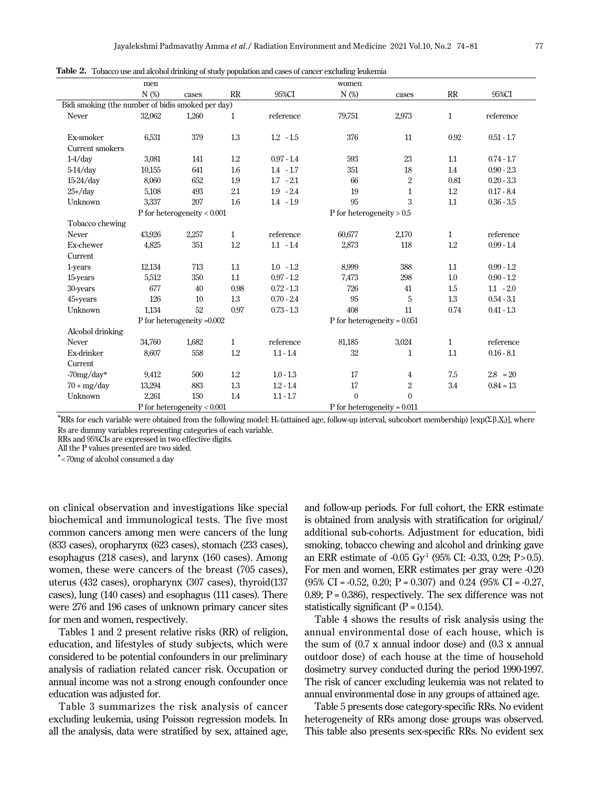|                                                   | men     |                               |              |              | women                         |                  |              |              |
|---------------------------------------------------|---------|-------------------------------|--------------|--------------|-------------------------------|------------------|--------------|--------------|
|                                                   | $N$ (%) | cases                         | RR           | 95%CI        | N (%)                         | cases            | RR           | 95%CI        |
| Bidi smoking (the number of bidis smoked per day) |         |                               |              |              |                               |                  |              |              |
| Never                                             | 32,062  | 1,260                         | $\mathbf{1}$ | reference    | 79,751                        | 2,973            | $\mathbf{1}$ | reference    |
|                                                   |         |                               |              |              |                               |                  |              |              |
| Ex-smoker                                         | 6,531   | 379                           | 1.3          | $1.2 - 1.5$  | 376                           | 11               | 0.92         | $0.51 - 1.7$ |
| Current smokers                                   |         |                               |              |              |                               |                  |              |              |
| $1-4$ /day                                        | 3,081   | 141                           | 1.2          | $0.97 - 1.4$ | 593                           | 23               | 1.1          | $0.74 - 1.7$ |
| $5-14$ /day                                       | 10,155  | 641                           | 1.6          | $1.4 - 1.7$  | 351                           | 18               | 1.4          | $0.90 - 2.3$ |
| $15-24$ /day                                      | 8,060   | 652                           | 1.9          | $1.7 - 2.1$  | 66                            | $\overline{2}$   | 0.81         | $0.20 - 3.3$ |
| $25+ /day$                                        | 5,108   | 493                           | 2.1          | $1.9 - 2.4$  | 19                            | 1                | 1.2          | $0.17 - 8.4$ |
| Unknown                                           | 3,337   | 207                           | 1.6          | $1.4 - 1.9$  | 95                            | 3                | 1.1          | $0.36 - 3.5$ |
|                                                   |         | P for heterogeneity $< 0.001$ |              |              | P for heterogeneity $> 0.5$   |                  |              |              |
| Tobacco chewing                                   |         |                               |              |              |                               |                  |              |              |
| Never                                             | 43,926  | 2,257                         | $\mathbf{1}$ | reference    | 60,677                        | 2,170            | $\mathbf{1}$ | reference    |
| Ex-chewer                                         | 4,825   | 351                           | 1.2          | $1.1 - 1.4$  | 2,873                         | 118              | 1.2          | $0.99 - 1.4$ |
| Current                                           |         |                               |              |              |                               |                  |              |              |
| 1-years                                           | 12,134  | 713                           | 1.1          | $1.0 - 1.2$  | 8,999                         | 388              | 1.1          | $0.99 - 1.2$ |
| 15-years                                          | 5,512   | 350                           | 1.1          | $0.97 - 1.2$ | 7,473                         | 298              | 1.0          | $0.90 - 1.2$ |
| 30-years                                          | 677     | 40                            | 0.98         | $0.72 - 1.3$ | 726                           | 41               | 1.5          | $1.1 - 2.0$  |
| 45+years                                          | 126     | 10                            | 1.3          | $0.70 - 2.4$ | 95                            | 5                | 1.3          | $0.54 - 3.1$ |
| Unknown                                           | 1,134   | 52                            | 0.97         | $0.73 - 1.3$ | 408                           | 11               | 0.74         | $0.41 - 1.3$ |
|                                                   |         | P for heterogeneity =0.002    |              |              | P for heterogeneity = $0.051$ |                  |              |              |
| Alcohol drinking                                  |         |                               |              |              |                               |                  |              |              |
| Never                                             | 34.760  | 1,682                         | $\mathbf{1}$ | reference    | 81,185                        | 3,024            | $\mathbf{1}$ | reference    |
| Ex-drinker                                        | 8,607   | 558                           | 1.2          | $1.1 - 1.4$  | 32                            | $\mathbf 1$      | 1.1          | $0.16 - 8.1$ |
| Current                                           |         |                               |              |              |                               |                  |              |              |
| $-70$ mg/day*                                     | 9,412   | 500                           | 1.2          | $1.0 - 1.3$  | 17                            | 4                | 7.5          | $2.8 = 20$   |
| $70 + mg/day$                                     | 13,294  | 883                           | 1.3          | $1.2 - 1.4$  | 17                            | $\boldsymbol{2}$ | 3.4          | $0.84 = 13$  |
| Unknown                                           | 2,261   | 150                           | 1.4          | $1.1 - 1.7$  | $\theta$                      | $\Omega$         |              |              |
| P for heterogeneity $< 0.001$                     |         |                               |              |              | P for heterogeneity = $0.011$ |                  |              |              |

**Table 2.** Tobacco use and alcohol drinking of study population and cases of cancer excluding leukemia

\*RRs for each variable were obtained from the following model: H<sub>0</sub> (attained age, follow-up interval, subcohort membership) [exp(Σβ<sub>i</sub>X<sub>i</sub>)], where Rs are dummy variables representing categories of each variable.

RRs and 95%CIs are expressed in two effective digits.

All the P values presented are two sided.

\*<70mg of alcohol consumed a day

on clinical observation and investigations like special biochemical and immunological tests. The five most common cancers among men were cancers of the lung (833 cases), oropharynx (623 cases), stomach (233 cases), esophagus (218 cases), and larynx (160 cases). Among women, these were cancers of the breast (705 cases), uterus (432 cases), oropharynx (307 cases), thyroid(137 cases), lung (140 cases) and esophagus (111 cases). There were 276 and 196 cases of unknown primary cancer sites for men and women, respectively.

Tables 1 and 2 present relative risks (RR) of religion, education, and lifestyles of study subjects, which were considered to be potential confounders in our preliminary analysis of radiation related cancer risk. Occupation or annual income was not a strong enough confounder once education was adjusted for.

Table 3 summarizes the risk analysis of cancer excluding leukemia, using Poisson regression models. In all the analysis, data were stratified by sex, attained age,

and follow-up periods. For full cohort, the ERR estimate is obtained from analysis with stratification for original/ additional sub-cohorts. Adjustment for education, bidi smoking, tobacco chewing and alcohol and drinking gave an ERR estimate of -0.05 Gy<sup>-1</sup> (95% CI: -0.33, 0.29; P>0.5). For men and women, ERR estimates per gray were -0.20  $(95\% \text{ CI} = -0.52, 0.20; \text{ P} = 0.307)$  and 0.24  $(95\% \text{ CI} = -0.27,$ 0.89;  $P = 0.386$ ), respectively. The sex difference was not statistically significant  $(P = 0.154)$ .

Table 4 shows the results of risk analysis using the annual environmental dose of each house, which is the sum of (0.7 x annual indoor dose) and (0.3 x annual outdoor dose) of each house at the time of household dosimetry survey conducted during the period 1990-1997. The risk of cancer excluding leukemia was not related to annual environmental dose in any groups of attained age.

Table 5 presents dose category-specific RRs. No evident heterogeneity of RRs among dose groups was observed. This table also presents sex-specific RRs. No evident sex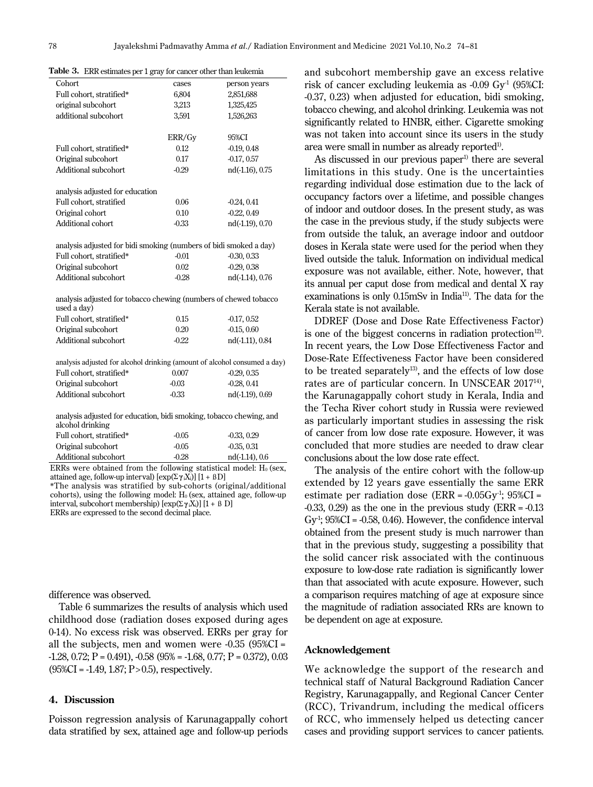| Cohort                                                                                  | cases   | person years    |
|-----------------------------------------------------------------------------------------|---------|-----------------|
| Full cohort, stratified*                                                                | 6,804   | 2,851,688       |
| original subcohort                                                                      | 3,213   | 1,325,425       |
| additional subcohort                                                                    | 3,591   | 1,526,263       |
|                                                                                         |         |                 |
|                                                                                         | ERR/Gy  | 95%CI           |
| Full cohort, stratified*                                                                | 0.12    | $-0.19, 0.48$   |
| Original subcohort                                                                      | 0.17    | $-0.17, 0.57$   |
| Additional subcohort                                                                    | $-0.29$ | nd(-1.16), 0.75 |
|                                                                                         |         |                 |
| analysis adjusted for education                                                         |         |                 |
| Full cohort, stratified                                                                 | 0.06    | $-0.24, 0.41$   |
| Original cohort                                                                         | 0.10    | $-0.22, 0.49$   |
| Additional cohort                                                                       | $-0.33$ | nd(-1.19), 0.70 |
| analysis adjusted for bidi smoking (numbers of bidi smoked a day)                       |         |                 |
| Full cohort, stratified*                                                                | $-0.01$ | $-0.30, 0.33$   |
| Original subcohort                                                                      | 0.02    | $-0.29, 0.38$   |
| Additional subcohort                                                                    | $-0.28$ | nd(-1.14), 0.76 |
|                                                                                         |         |                 |
| analysis adjusted for tobacco chewing (numbers of chewed tobacco<br>used a day)         |         |                 |
| Full cohort, stratified*                                                                | 0.15    | $-0.17, 0.52$   |
| Original subcohort                                                                      | 0.20    | $-0.15, 0.60$   |
| Additional subcohort                                                                    | $-0.22$ | nd(-1.11), 0.84 |
|                                                                                         |         |                 |
| analysis adjusted for alcohol drinking (amount of alcohol consumed a day)               |         |                 |
| Full cohort, stratified*                                                                | 0.007   | $-0.29, 0.35$   |
| Original subcohort                                                                      | $-0.03$ | $-0.28, 0.41$   |
| Additional subcohort                                                                    | $-0.33$ | nd(-1.19), 0.69 |
| analysis adjusted for education, bidi smoking, tobacco chewing, and<br>alcohol drinking |         |                 |
|                                                                                         |         |                 |

**Table 3.** ERR estimates per 1 gray for cancer other than leukemia

| $-0.05$ | $-0.33, 0.29$    |
|---------|------------------|
| $-0.05$ | $-0.35, 0.31$    |
| $-0.28$ | $nd(-1.14), 0.6$ |
|         |                  |

ERRs were obtained from the following statistical model:  $H_0$  (sex, attained age, follow-up interval) [exp(Σ**γ**iXi)] [1 + ßD]

\*The analysis was stratified by sub-cohorts (original/additional cohorts), using the following model:  $H_0$  (sex, attained age, follow-up interval, subcohort membership)  $[\exp(\sum \gamma_i X_i)] [1 + \beta D]$ ERRs are expressed to the second decimal place.

difference was observed.

Table 6 summarizes the results of analysis which used childhood dose (radiation doses exposed during ages 0-14). No excess risk was observed. ERRs per gray for all the subjects, men and women were -0.35 (95%CI =  $-1.28$ , 0.72; P = 0.491),  $-0.58$  (95% =  $-1.68$ , 0.77; P = 0.372), 0.03  $(95\%CI = -1.49, 1.87; P > 0.5)$ , respectively.

#### **4. Discussion**

Poisson regression analysis of Karunagappally cohort data stratified by sex, attained age and follow-up periods

and subcohort membership gave an excess relative risk of cancer excluding leukemia as  $-0.09 \text{ Gy}^1$  (95%CI: -0.37, 0.23) when adjusted for education, bidi smoking, tobacco chewing, and alcohol drinking. Leukemia was not significantly related to HNBR, either. Cigarette smoking was not taken into account since its users in the study area were small in number as already reported<sup>1)</sup>.

As discussed in our previous paper<sup>1)</sup> there are several limitations in this study. One is the uncertainties regarding individual dose estimation due to the lack of occupancy factors over a lifetime, and possible changes of indoor and outdoor doses. In the present study, as was the case in the previous study, if the study subjects were from outside the taluk, an average indoor and outdoor doses in Kerala state were used for the period when they lived outside the taluk. Information on individual medical exposure was not available, either. Note, however, that its annual per caput dose from medical and dental X ray examinations is only 0.15mSv in India<sup>11</sup>. The data for the Kerala state is not available.

DDREF (Dose and Dose Rate Effectiveness Factor) is one of the biggest concerns in radiation protection<sup>12)</sup>. In recent years, the Low Dose Effectiveness Factor and Dose-Rate Effectiveness Factor have been considered to be treated separately<sup>13)</sup>, and the effects of low dose rates are of particular concern. In UNSCEAR 201714), the Karunagappally cohort study in Kerala, India and the Techa River cohort study in Russia were reviewed as particularly important studies in assessing the risk of cancer from low dose rate exposure. However, it was concluded that more studies are needed to draw clear conclusions about the low dose rate effect.

The analysis of the entire cohort with the follow-up extended by 12 years gave essentially the same ERR estimate per radiation dose (ERR =  $-0.05Gv<sup>1</sup>$ ; 95%CI = -0.33, 0.29) as the one in the previous study (ERR = -0.13 Gy<sup>-1</sup>;  $95\%CI = -0.58$ , 0.46). However, the confidence interval obtained from the present study is much narrower than that in the previous study, suggesting a possibility that the solid cancer risk associated with the continuous exposure to low-dose rate radiation is significantly lower than that associated with acute exposure. However, such a comparison requires matching of age at exposure since the magnitude of radiation associated RRs are known to be dependent on age at exposure.

#### **Acknowledgement**

We acknowledge the support of the research and technical staff of Natural Background Radiation Cancer Registry, Karunagappally, and Regional Cancer Center (RCC), Trivandrum, including the medical officers of RCC, who immensely helped us detecting cancer cases and providing support services to cancer patients.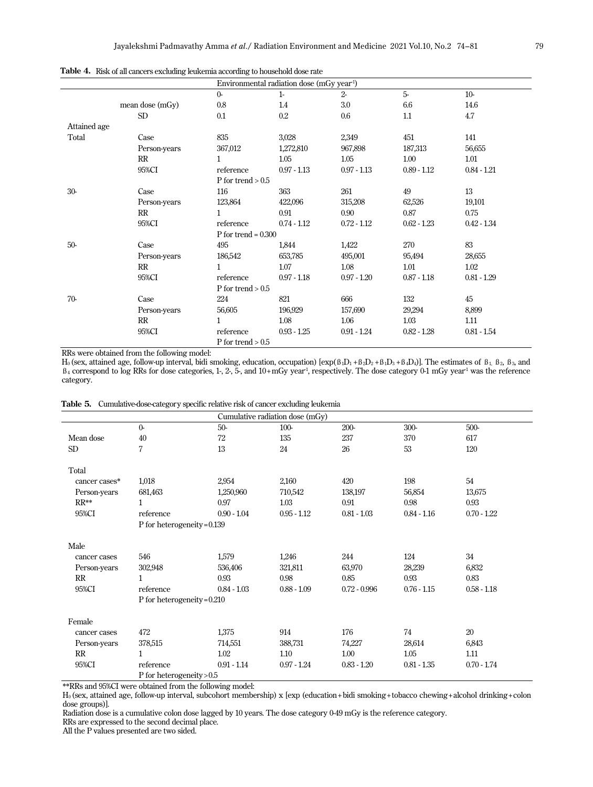|              |                 |                       | Environmental radiation dose (mGy year <sup>1</sup> ) |               |               |               |
|--------------|-----------------|-----------------------|-------------------------------------------------------|---------------|---------------|---------------|
|              |                 | $O -$                 | $1-$                                                  | $2 -$         | $5-$          | $10-$         |
|              | mean dose (mGy) | 0.8                   | 1.4                                                   | 3.0           | 6.6           | 14.6          |
|              | SD              | 0.1                   | $0.2\,$                                               | 0.6           | 1.1           | 4.7           |
| Attained age |                 |                       |                                                       |               |               |               |
| Total        | Case            | 835                   | 3,028                                                 | 2,349         | 451           | 141           |
|              | Person-years    | 367,012               | 1,272,810                                             | 967,898       | 187,313       | 56,655        |
|              | RR              | $\mathbf{1}$          | 1.05                                                  | 1.05          | 1.00          | 1.01          |
|              | 95%CI           | reference             | $0.97 - 1.13$                                         | $0.97 - 1.13$ | $0.89 - 1.12$ | $0.84 - 1.21$ |
|              |                 | P for trend $> 0.5$   |                                                       |               |               |               |
| $30-$        | Case            | 116                   | 363                                                   | 261           | 49            | 13            |
|              | Person-years    | 123,864               | 422,096                                               | 315,208       | 62,526        | 19,101        |
|              | RR              | $\mathbf{1}$          | 0.91                                                  | 0.90          | 0.87          | 0.75          |
|              | 95%CI           | reference             | $0.74 - 1.12$                                         | $0.72 - 1.12$ | $0.62 - 1.23$ | $0.42 - 1.34$ |
|              |                 | P for trend = $0.300$ |                                                       |               |               |               |
| $50-$        | Case            | 495                   | 1,844                                                 | 1,422         | 270           | 83            |
|              | Person-years    | 186,542               | 653,785                                               | 495,001       | 95,494        | 28,655        |
|              | RR              | $\mathbf{1}$          | 1.07                                                  | 1.08          | 1.01          | 1.02          |
|              | 95%CI           | reference             | $0.97 - 1.18$                                         | $0.97 - 1.20$ | $0.87 - 1.18$ | $0.81 - 1.29$ |
|              |                 | P for trend $> 0.5$   |                                                       |               |               |               |
| $70-$        | Case            | 224                   | 821                                                   | 666           | 132           | 45            |
|              | Person-years    | 56,605                | 196,929                                               | 157,690       | 29,294        | 8,899         |
|              | RR              | $\mathbf{1}$          | 1.08                                                  | 1.06          | 1.03          | 1.11          |
|              | 95%CI           | reference             | $0.93 - 1.25$                                         | $0.91 - 1.24$ | $0.82 - 1.28$ | $0.81 - 1.54$ |
|              |                 | $P$ for trend $> 0.5$ |                                                       |               |               |               |

**Table 4.** Risk of all cancers excluding leukemia according to household dose rate

RRs were obtained from the following model:

H<sub>0</sub> (sex, attained age, follow-up interval, bidi smoking, education, occupation) [exp( $\beta_1D_1 + \beta_2D_2 + \beta_1D_3 + \beta_4D_4$ ]. The estimates of  $\beta_1$ ,  $\beta_2$ ,  $\beta_3$ , and  $\beta_4$  correspond to log RRs for dose categories, 1-, 2-, 5-, and 10+mGy year<sup>-1</sup>, respectively. The dose category 0-1 mGy year<sup>-1</sup> was the reference category.

|  | Table 5. Cumulative-dose-category specific relative risk of cancer excluding leukemia |  |  |
|--|---------------------------------------------------------------------------------------|--|--|
|--|---------------------------------------------------------------------------------------|--|--|

|                 |                               |               | Cumulative radiation dose (mGy) |                |               |               |
|-----------------|-------------------------------|---------------|---------------------------------|----------------|---------------|---------------|
|                 | $\Omega$                      | $50-$         | $100-$                          | $200-$         | 300-          | 500-          |
| Mean dose       | 40                            | 72            | 135                             | 237            | 370           | 617           |
| SD <sub>1</sub> | $\overline{7}$                | 13            | 24                              | 26             | 53            | 120           |
| Total           |                               |               |                                 |                |               |               |
| cancer cases*   | 1,018                         | 2,954         | 2,160                           | 420            | 198           | 54            |
| Person-years    | 681,463                       | 1,250,960     | 710,542                         | 138,197        | 56,854        | 13,675        |
| $RR**$          | 1                             | 0.97          | 1.03                            | 0.91           | 0.98          | 0.93          |
| 95%CI           | reference                     | $0.90 - 1.04$ | $0.95 - 1.12$                   | $0.81 - 1.03$  | $0.84 - 1.16$ | $0.70 - 1.22$ |
|                 | P for heterogeneity = $0.139$ |               |                                 |                |               |               |
| Male            |                               |               |                                 |                |               |               |
| cancer cases    | 546                           | 1,579         | 1,246                           | 244            | 124           | 34            |
| Person-years    | 302,948                       | 536,406       | 321,811                         | 63,970         | 28,239        | 6,832         |
| RR              | $\mathbf{1}$                  | 0.93          | 0.98                            | 0.85           | 0.93          | 0.83          |
| 95%CI           | reference                     | $0.84 - 1.03$ | $0.88 - 1.09$                   | $0.72 - 0.996$ | $0.76 - 1.15$ | $0.58 - 1.18$ |
|                 | P for heterogeneity = $0.210$ |               |                                 |                |               |               |
| Female          |                               |               |                                 |                |               |               |
| cancer cases    | 472                           | 1,375         | 914                             | 176            | 74            | 20            |
| Person-years    | 378,515                       | 714,551       | 388,731                         | 74,227         | 28,614        | 6,843         |
| RR              | 1                             | 1.02          | 1.10                            | 1.00           | 1.05          | 1.11          |
| 95%CI           | reference                     | $0.91 - 1.14$ | $0.97 - 1.24$                   | $0.83 - 1.20$  | $0.81 - 1.35$ | $0.70 - 1.74$ |
|                 | P for heterogeneity $> 0.5$   |               |                                 |                |               |               |

\*\*RRs and 95%CI were obtained from the following model:

H0 (sex, attained age, follow-up interval, subcohort membership) x [exp (education+bidi smoking+tobacco chewing+alcohol drinking+colon dose groups)].

Radiation dose is a cumulative colon dose lagged by 10 years. The dose category 0-49 mGy is the reference category.

RRs are expressed to the second decimal place.

All the P values presented are two sided.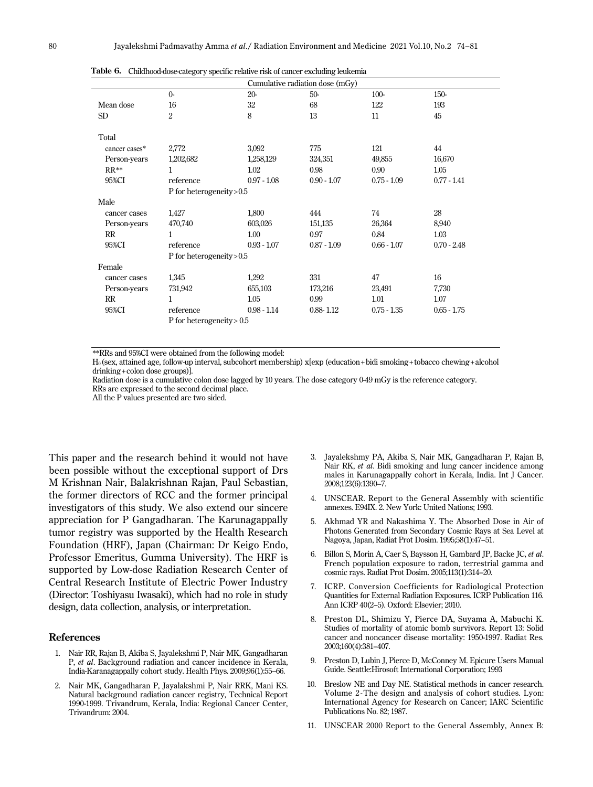|               |                             |               | Cumulative radiation dose (mGy) |               |               |  |
|---------------|-----------------------------|---------------|---------------------------------|---------------|---------------|--|
|               | $\Omega$                    | $20 -$        | $50-$                           | $100-$        | 150-          |  |
| Mean dose     | 16                          | 32            | 68                              | 122           | 193           |  |
| <b>SD</b>     | $\overline{2}$              | 8             | 13                              | 11            | 45            |  |
| Total         |                             |               |                                 |               |               |  |
| cancer cases* | 2,772                       | 3,092         | 775                             | 121           | 44            |  |
| Person-years  | 1,202,682                   | 1,258,129     | 324,351                         | 49,855        | 16,670        |  |
| $RR**$        | 1                           | 1.02          | 0.98                            | 0.90          | 1.05          |  |
| 95%CI         | reference                   | $0.97 - 1.08$ | $0.90 - 1.07$                   | $0.75 - 1.09$ | $0.77 - 1.41$ |  |
|               | P for heterogeneity > 0.5   |               |                                 |               |               |  |
| Male          |                             |               |                                 |               |               |  |
| cancer cases  | 1,427                       | 1,800         | 444                             | 74            | 28            |  |
| Person-years  | 470,740                     | 603,026       | 151,135                         | 26,364        | 8,940         |  |
| RR            | 1                           | 1.00          | 0.97                            | 0.84          | 1.03          |  |
| 95%CI         | reference                   | $0.93 - 1.07$ | $0.87 - 1.09$                   | $0.66 - 1.07$ | $0.70 - 2.48$ |  |
|               | P for heterogeneity $> 0.5$ |               |                                 |               |               |  |
| Female        |                             |               |                                 |               |               |  |
| cancer cases  | 1,345                       | 1,292         | 331                             | 47            | 16            |  |
| Person-years  | 731,942                     | 655,103       | 173,216                         | 23,491        | 7,730         |  |
| RR            | 1                           | 1.05          | 0.99                            | 1.01          | 1.07          |  |
| 95%CI         | reference                   | $0.98 - 1.14$ | $0.88 - 1.12$                   | $0.75 - 1.35$ | $0.65 - 1.75$ |  |
|               | P for heterogeneity $> 0.5$ |               |                                 |               |               |  |

**Table 6.** Childhood-dose-category specific relative risk of cancer excluding leukemia

\*\*RRs and 95%CI were obtained from the following model:

H0 (sex, attained age, follow-up interval, subcohort membership) x[exp (education+bidi smoking+tobacco chewing+alcohol drinking+colon dose groups)].

Radiation dose is a cumulative colon dose lagged by 10 years. The dose category 0-49 mGy is the reference category. RRs are expressed to the second decimal place.

All the P values presented are two sided.

This paper and the research behind it would not have been possible without the exceptional support of Drs M Krishnan Nair, Balakrishnan Rajan, Paul Sebastian, the former directors of RCC and the former principal investigators of this study. We also extend our sincere appreciation for P Gangadharan. The Karunagappally tumor registry was supported by the Health Research Foundation (HRF), Japan (Chairman: Dr Keigo Endo, Professor Emeritus, Gumma University). The HRF is supported by Low-dose Radiation Research Center of Central Research Institute of Electric Power Industry (Director: Toshiyasu Iwasaki), which had no role in study design, data collection, analysis, or interpretation.

#### **References**

- 1. Nair RR, Rajan B, Akiba S, Jayalekshmi P, Nair MK, Gangadharan P, *et al*. Background radiation and cancer incidence in Kerala, India-Karanagappally cohort study. Health Phys. 2009;96(1):55–66.
- 2. Nair MK, Gangadharan P, Jayalakshmi P, Nair RRK, Mani KS. Natural background radiation cancer registry, Technical Report 1990-1999. Trivandrum, Kerala, India: Regional Cancer Center, Trivandrum: 2004.
- 3. Jayalekshmy PA, Akiba S, Nair MK, Gangadharan P, Rajan B, Nair RK, *et al*. Bidi smoking and lung cancer incidence among males in Karunagappally cohort in Kerala, India. Int J Cancer. 2008;123(6):1390–7.
- 4. UNSCEAR. Report to the General Assembly with scientific annexes. E94IX. 2. New York: United Nations; 1993.
- 5. Akhmad YR and Nakashima Y. The Absorbed Dose in Air of Photons Generated from Secondary Cosmic Rays at Sea Level at Nagoya, Japan, Radiat Prot Dosim. 1995;58(1):47–51.
- 6. Billon S, Morin A, Caer S, Baysson H, Gambard JP, Backe JC, *et al*. French population exposure to radon, terrestrial gamma and cosmic rays. Radiat Prot Dosim. 2005;113(1):314–20.
- 7. ICRP. Conversion Coefficients for Radiological Protection Quantities for External Radiation Exposures. ICRP Publication 116. Ann ICRP 40(2–5). Oxford: Elsevier; 2010.
- 8. Preston DL, Shimizu Y, Pierce DA, Suyama A, Mabuchi K. Studies of mortality of atomic bomb survivors. Report 13: Solid cancer and noncancer disease mortality: 1950-1997. Radiat Res. 2003;160(4):381–407.
- 9. Preston D, Lubin J, Pierce D, McConney M. Epicure Users Manual Guide. Seattle:Hirosoft International Corporation; 1993
- 10. Breslow NE and Day NE. Statistical methods in cancer research. Volume 2 - The design and analysis of cohort studies. Lyon: International Agency for Research on Cancer; IARC Scientific Publications No. 82; 1987.
- 11. UNSCEAR 2000 Report to the General Assembly, Annex B: